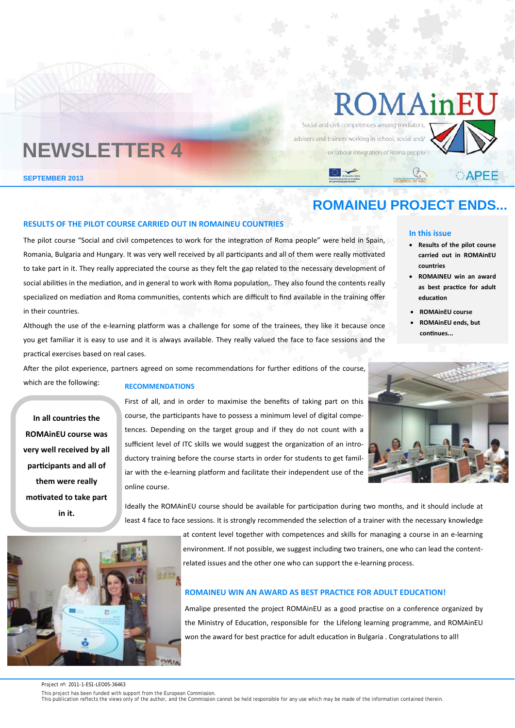# ROMAinl

Social and civil competences among mediator advisers and trainers working in school, social and/ or labour integration of Roma people



CAPEE

## **NEWSLETTER 4**

**SEPTEMBER 2013** 

### **ROMAINEU PROJECT ENDS...**

#### **RESULTS OF THE PILOT COURSE CARRIED OUT IN ROMAINEU COUNTRIES**

The pilot course "Social and civil competences to work for the integration of Roma people" were held in Spain, Romania, Bulgaria and Hungary. It was very well received by all participants and all of them were really motivated to take part in it. They really appreciated the course as they felt the gap related to the necessary development of social abilities in the mediation, and in general to work with Roma population,. They also found the contents really specialized on mediation and Roma communities, contents which are difficult to find available in the training offer in their countries.

Although the use of the e-learning platform was a challenge for some of the trainees, they like it because once you get familiar it is easy to use and it is always available. They really valued the face to face sessions and the practical exercises based on real cases.

After the pilot experience, partners agreed on some recommendations for further editions of the course,

which are the following:

í

#### **RECOMMENDATIONS**

**In all countries the ROMAinEU course was very well received by all parƟcipants and all of them were really moƟvated to take part in it.** 

First of all, and in order to maximise the benefits of taking part on this course, the participants have to possess a minimum level of digital competences. Depending on the target group and if they do not count with a sufficient level of ITC skills we would suggest the organization of an introductory training before the course starts in order for students to get familiar with the e-learning platform and facilitate their independent use of the online course.

Ideally the ROMAinEU course should be available for participation during two months, and it should include at least 4 face to face sessions. It is strongly recommended the selection of a trainer with the necessary knowledge

at content level together with competences and skills for managing a course in an e‐learning

environment. If not possible, we suggest including two trainers, one who can lead the contentrelated issues and the other one who can support the e‐learning process.

#### **ROMAINEU WIN AN AWARD AS BEST PRACTICE FOR ADULT EDUCATION!**

Amalipe presented the project ROMAinEU as a good practise on a conference organized by the Ministry of Education, responsible for the Lifelong learning programme, and ROMAinEU won the award for best practice for adult education in Bulgaria . Congratulations to all!



Project nº: 2011-1-ES1-LEO05-36463

This project has been funded with support from the European Commission.<br>This publication reflects the views only of the author, and the Commission cannot be held responsible for any use which may be made of the information

#### **In this issue**

- **Results of the pilot course carried out in ROMAinEU countries**
- **ROMAINEU win an award as best pracƟce for adult educaƟon**
- **ROMAinEU course**
- **ROMAinEU ends, but conƟnues...**

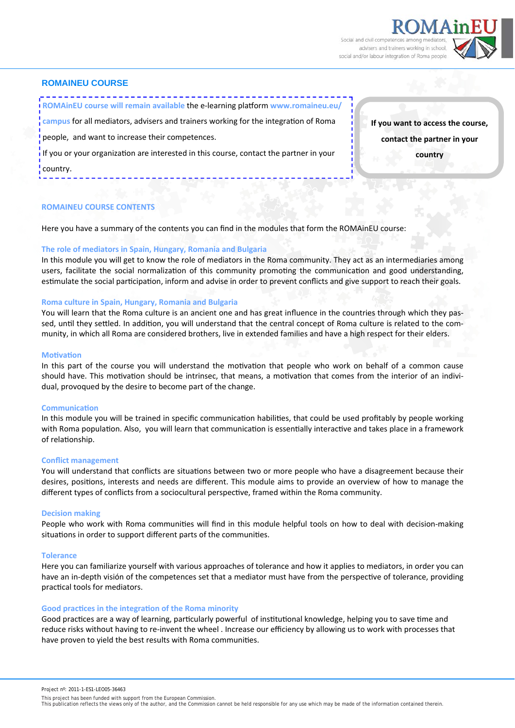Social and civil competences amo advisers and trainers working in schoo social and/or labour integration of Roma people



#### **ROMAINEU COURSE**

**ROMAinEU course will remain available** the e‐learning plaƞorm **www.romaineu.eu/**

campus for all mediators, advisers and trainers working for the integration of Roma

people, and want to increase their competences.

If you or your organization are interested in this course, contact the partner in your country.

**If you want to access the course, contact the partner in your country** 

#### **ROMAINEU COURSE CONTENTS**

Here you have a summary of the contents you can find in the modules that form the ROMAinEU course:

#### **The role of mediators in Spain, Hungary, Romania and Bulgaria**

In this module you will get to know the role of mediators in the Roma community. They act as an intermediaries among users, facilitate the social normalization of this community promoting the communication and good understanding, estimulate the social participation, inform and advise in order to prevent conflicts and give support to reach their goals.

#### **Roma culture in Spain, Hungary, Romania and Bulgaria**

You will learn that the Roma culture is an ancient one and has great influence in the countries through which they passed, until they settled. In addition, you will understand that the central concept of Roma culture is related to the community, in which all Roma are considered brothers, live in extended families and have a high respect for their elders.

#### **MoƟvaƟon**

In this part of the course you will understand the motivation that people who work on behalf of a common cause should have. This motivation should be intrinsec, that means, a motivation that comes from the interior of an individual, provoqued by the desire to become part of the change.

#### **CommunicaƟon**

In this module you will be trained in specific communication habilities, that could be used profitably by people working with Roma population. Also, you will learn that communication is essentially interactive and takes place in a framework of relationship.

#### **Conflict management**

You will understand that conflicts are situations between two or more people who have a disagreement because their desires, positions, interests and needs are different. This module aims to provide an overview of how to manage the different types of conflicts from a sociocultural perspective, framed within the Roma community.

#### **Decision making**

People who work with Roma communities will find in this module helpful tools on how to deal with decision-making situations in order to support different parts of the communities.

#### **Tolerance**

Here you can familiarize yourself with various approaches of tolerance and how it applies to mediators, in order you can have an in-depth visión of the competences set that a mediator must have from the perspective of tolerance, providing practical tools for mediators.

#### **Good pracƟces in the integraƟon of the Roma minority**

Good practices are a way of learning, particularly powerful of institutional knowledge, helping you to save time and reduce risks without having to re‐invent the wheel . Increase our efficiency by allowing us to work with processes that have proven to yield the best results with Roma communities.

- 
- This project has been funded with support from the European Commission.<br>This publication reflects the views only of the author, and the Commission cannot be held responsible for any use which may be made of the information